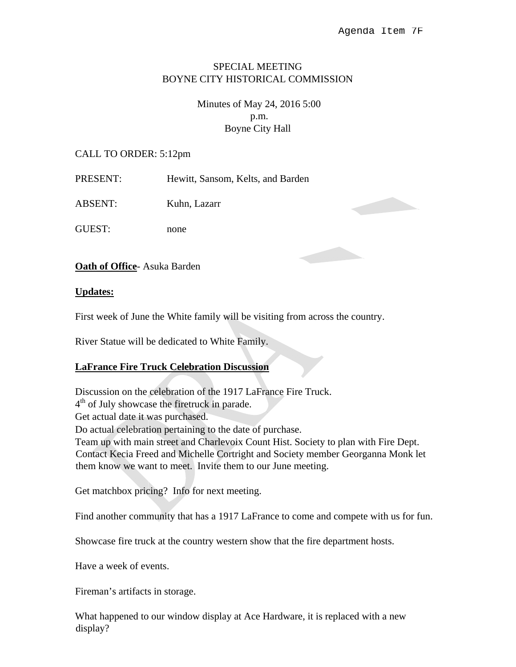## SPECIAL MEETING BOYNE CITY HISTORICAL COMMISSION

# Minutes of May 24, 2016 5:00 p.m. Boyne City Hall

#### CALL TO ORDER: 5:12pm

| PRESENT: | Hewitt, Sansom, Kelts, and Barden |
|----------|-----------------------------------|
|----------|-----------------------------------|

ABSENT: Kuhn, Lazarr

GUEST: none

**Oath of Office**- Asuka Barden

#### **Updates:**

First week of June the White family will be visiting from across the country.

River Statue will be dedicated to White Family.

### **LaFrance Fire Truck Celebration Discussion**

Discussion on the celebration of the 1917 LaFrance Fire Truck.  $4<sup>th</sup>$  of July showcase the firetruck in parade. Get actual date it was purchased. Do actual celebration pertaining to the date of purchase. Team up with main street and Charlevoix Count Hist. Society to plan with Fire Dept. Contact Kecia Freed and Michelle Cortright and Society member Georganna Monk let them know we want to meet. Invite them to our June meeting.

Get matchbox pricing? Info for next meeting.

Find another community that has a 1917 LaFrance to come and compete with us for fun.

Showcase fire truck at the country western show that the fire department hosts.

Have a week of events.

Fireman's artifacts in storage.

What happened to our window display at Ace Hardware, it is replaced with a new display?